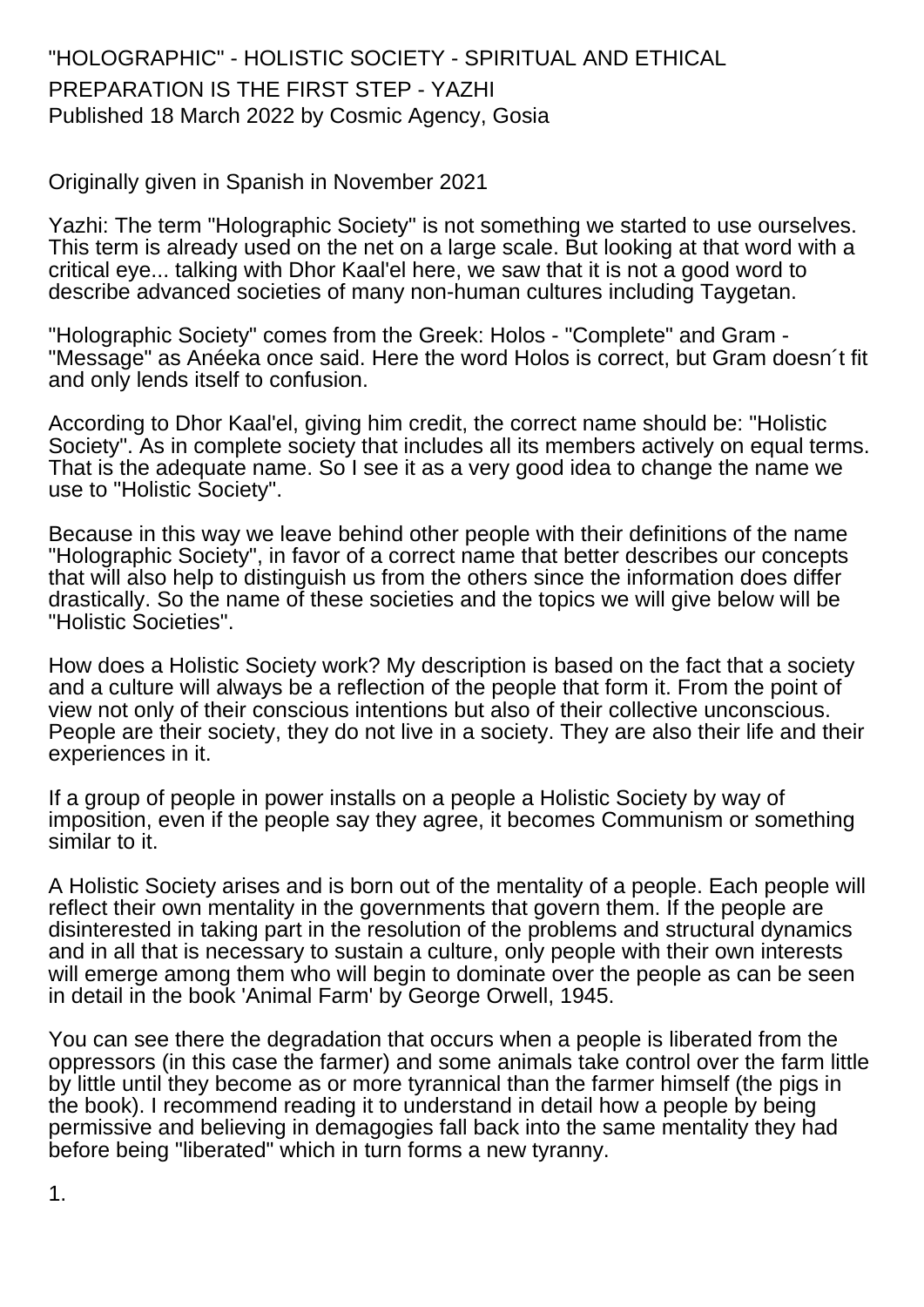## "HOLOGRAPHIC" - HOLISTIC SOCIETY - SPIRITUAL AND ETHICAL PREPARATION IS THE FIRST STEP - YAZHI Published 18 March 2022 by Cosmic Agency, Gosia

Originally given in Spanish in November 2021

Yazhi: The term "Holographic Society" is not something we started to use ourselves. This term is already used on the net on a large scale. But looking at that word with a critical eye... talking with Dhor Kaal'el here, we saw that it is not a good word to describe advanced societies of many non-human cultures including Taygetan.

"Holographic Society" comes from the Greek: Holos - "Complete" and Gram - "Message" as Anéeka once said. Here the word Holos is correct, but Gram doesn´t fit and only lends itself to confusion.

According to Dhor Kaal'el, giving him credit, the correct name should be: "Holistic Society". As in complete society that includes all its members actively on equal terms. That is the adequate name. So I see it as a very good idea to change the name we use to "Holistic Society".

Because in this way we leave behind other people with their definitions of the name "Holographic Society", in favor of a correct name that better describes our concepts that will also help to distinguish us from the others since the information does differ drastically. So the name of these societies and the topics we will give below will be "Holistic Societies".

How does a Holistic Society work? My description is based on the fact that a society and a culture will always be a reflection of the people that form it. From the point of view not only of their conscious intentions but also of their collective unconscious. People are their society, they do not live in a society. They are also their life and their experiences in it.

If a group of people in power installs on a people a Holistic Society by way of imposition, even if the people say they agree, it becomes Communism or something similar to it.

A Holistic Society arises and is born out of the mentality of a people. Each people will reflect their own mentality in the governments that govern them. If the people are disinterested in taking part in the resolution of the problems and structural dynamics and in all that is necessary to sustain a culture, only people with their own interests will emerge among them who will begin to dominate over the people as can be seen in detail in the book 'Animal Farm' by George Orwell, 1945.

You can see there the degradation that occurs when a people is liberated from the oppressors (in this case the farmer) and some animals take control over the farm little by little until they become as or more tyrannical than the farmer himself (the pigs in the book). I recommend reading it to understand in detail how a people by being permissive and believing in demagogies fall back into the same mentality they had before being "liberated" which in turn forms a new tyranny.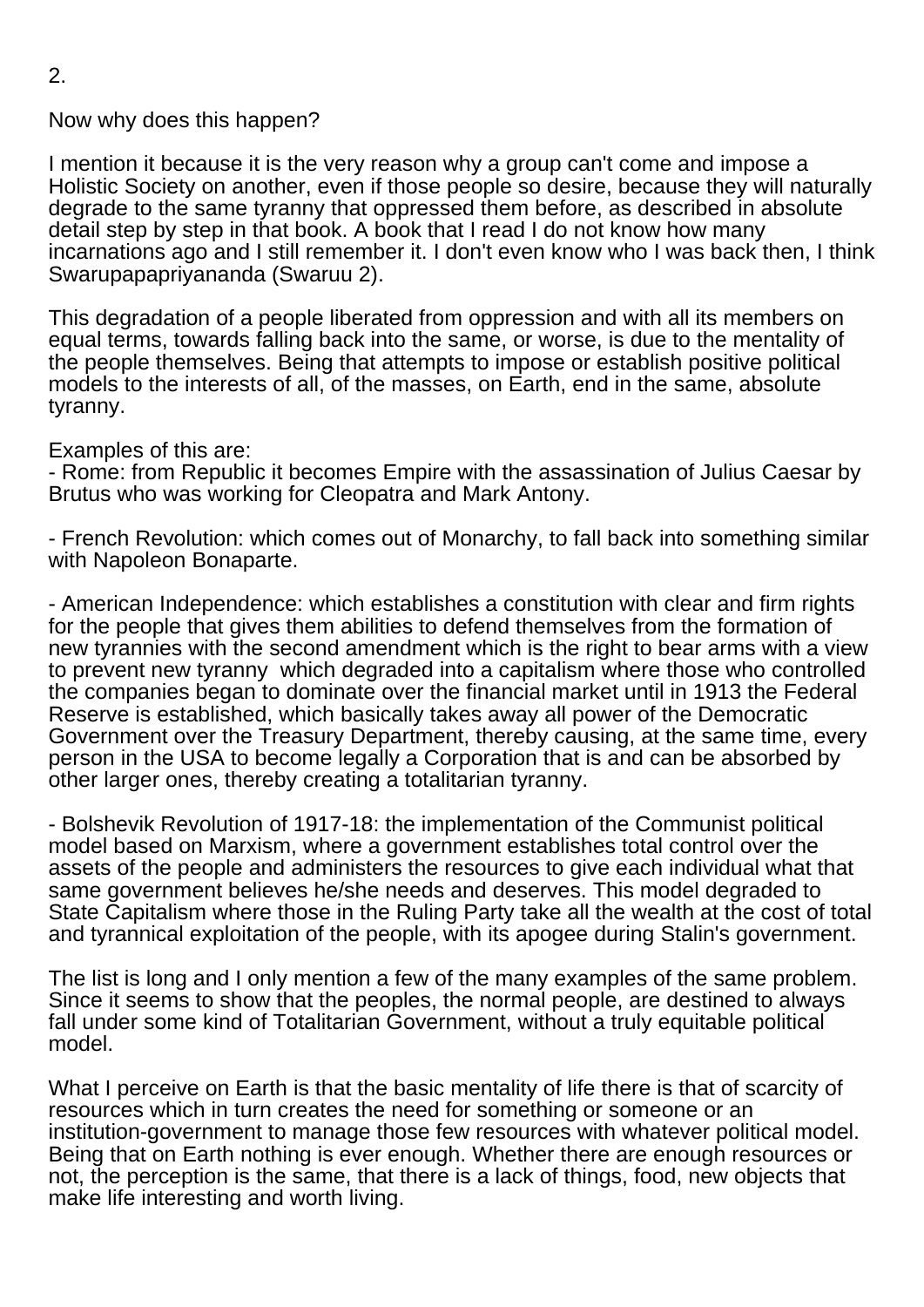Now why does this happen?

I mention it because it is the very reason why a group can't come and impose a Holistic Society on another, even if those people so desire, because they will naturally degrade to the same tyranny that oppressed them before, as described in absolute detail step by step in that book. A book that I read I do not know how many incarnations ago and I still remember it. I don't even know who I was back then, I think Swarupapapriyananda (Swaruu 2).

This degradation of a people liberated from oppression and with all its members on equal terms, towards falling back into the same, or worse, is due to the mentality of the people themselves. Being that attempts to impose or establish positive political models to the interests of all, of the masses, on Earth, end in the same, absolute tyranny.

Examples of this are:

- Rome: from Republic it becomes Empire with the assassination of Julius Caesar by Brutus who was working for Cleopatra and Mark Antony.

- French Revolution: which comes out of Monarchy, to fall back into something similar with Napoleon Bonaparte.

- American Independence: which establishes a constitution with clear and firm rights for the people that gives them abilities to defend themselves from the formation of new tyrannies with the second amendment which is the right to bear arms with a view to prevent new tyranny which degraded into a capitalism where those who controlled the companies began to dominate over the financial market until in 1913 the Federal Reserve is established, which basically takes away all power of the Democratic Government over the Treasury Department, thereby causing, at the same time, every person in the USA to become legally a Corporation that is and can be absorbed by other larger ones, thereby creating a totalitarian tyranny.

- Bolshevik Revolution of 1917-18: the implementation of the Communist political model based on Marxism, where a government establishes total control over the assets of the people and administers the resources to give each individual what that same government believes he/she needs and deserves. This model degraded to State Capitalism where those in the Ruling Party take all the wealth at the cost of total and tyrannical exploitation of the people, with its apogee during Stalin's government.

The list is long and I only mention a few of the many examples of the same problem. Since it seems to show that the peoples, the normal people, are destined to always fall under some kind of Totalitarian Government, without a truly equitable political model.

What I perceive on Earth is that the basic mentality of life there is that of scarcity of resources which in turn creates the need for something or someone or an institution-government to manage those few resources with whatever political model. Being that on Earth nothing is ever enough. Whether there are enough resources or not, the perception is the same, that there is a lack of things, food, new objects that make life interesting and worth living.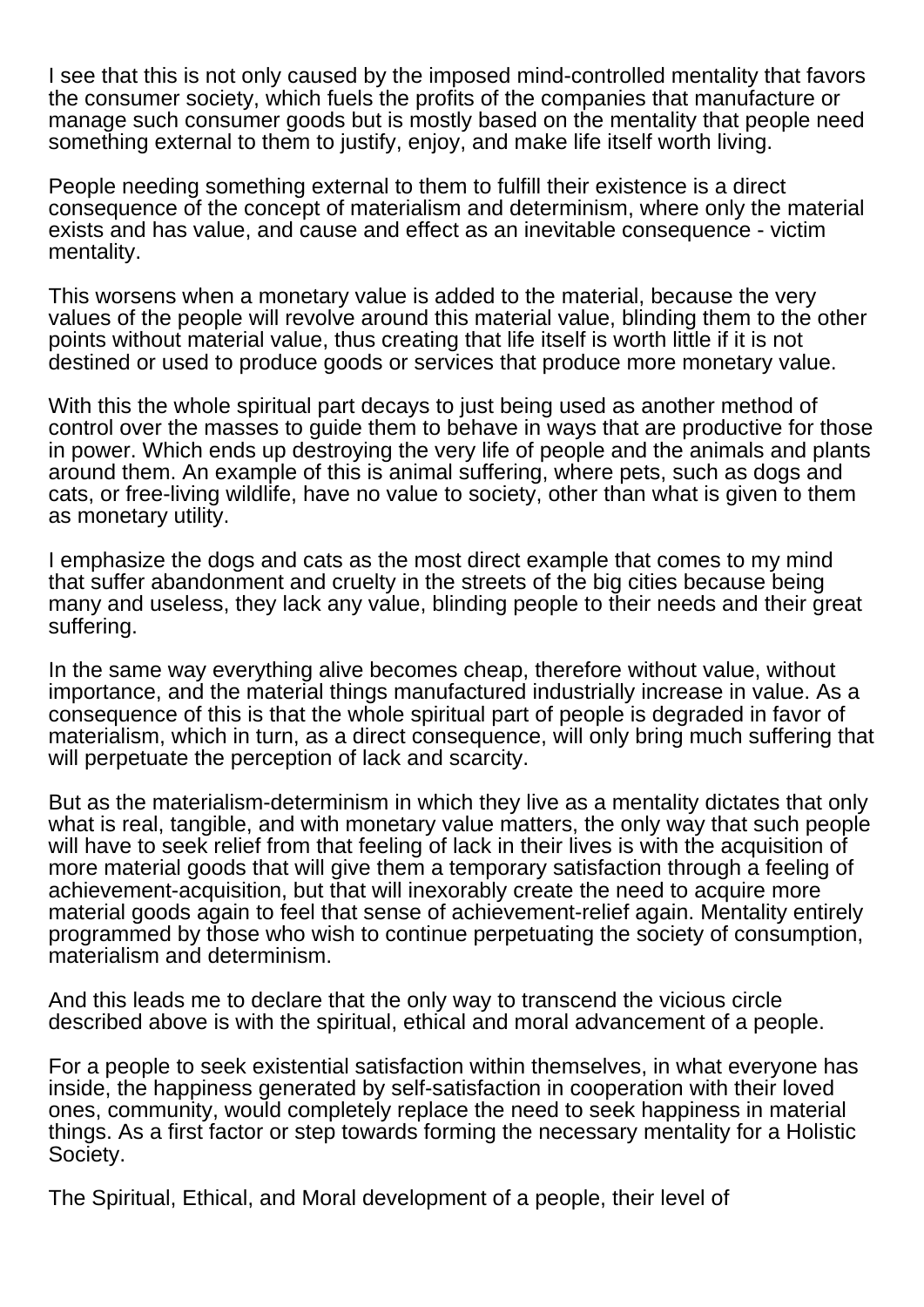I see that this is not only caused by the imposed mind-controlled mentality that favors the consumer society, which fuels the profits of the companies that manufacture or manage such consumer goods but is mostly based on the mentality that people need something external to them to justify, enjoy, and make life itself worth living.

People needing something external to them to fulfill their existence is a direct consequence of the concept of materialism and determinism, where only the material exists and has value, and cause and effect as an inevitable consequence - victim mentality.

This worsens when a monetary value is added to the material, because the very values of the people will revolve around this material value, blinding them to the other points without material value, thus creating that life itself is worth little if it is not destined or used to produce goods or services that produce more monetary value.

With this the whole spiritual part decays to just being used as another method of control over the masses to guide them to behave in ways that are productive for those in power. Which ends up destroying the very life of people and the animals and plants around them. An example of this is animal suffering, where pets, such as dogs and cats, or free-living wildlife, have no value to society, other than what is given to them as monetary utility.

I emphasize the dogs and cats as the most direct example that comes to my mind that suffer abandonment and cruelty in the streets of the big cities because being many and useless, they lack any value, blinding people to their needs and their great suffering.

In the same way everything alive becomes cheap, therefore without value, without importance, and the material things manufactured industrially increase in value. As a consequence of this is that the whole spiritual part of people is degraded in favor of materialism, which in turn, as a direct consequence, will only bring much suffering that will perpetuate the perception of lack and scarcity.

But as the materialism-determinism in which they live as a mentality dictates that only what is real, tangible, and with monetary value matters, the only way that such people will have to seek relief from that feeling of lack in their lives is with the acquisition of more material goods that will give them a temporary satisfaction through a feeling of achievement-acquisition, but that will inexorably create the need to acquire more material goods again to feel that sense of achievement-relief again. Mentality entirely programmed by those who wish to continue perpetuating the society of consumption, materialism and determinism.

And this leads me to declare that the only way to transcend the vicious circle described above is with the spiritual, ethical and moral advancement of a people.

For a people to seek existential satisfaction within themselves, in what everyone has inside, the happiness generated by self-satisfaction in cooperation with their loved ones, community, would completely replace the need to seek happiness in material things. As a first factor or step towards forming the necessary mentality for a Holistic Society.

The Spiritual, Ethical, and Moral development of a people, their level of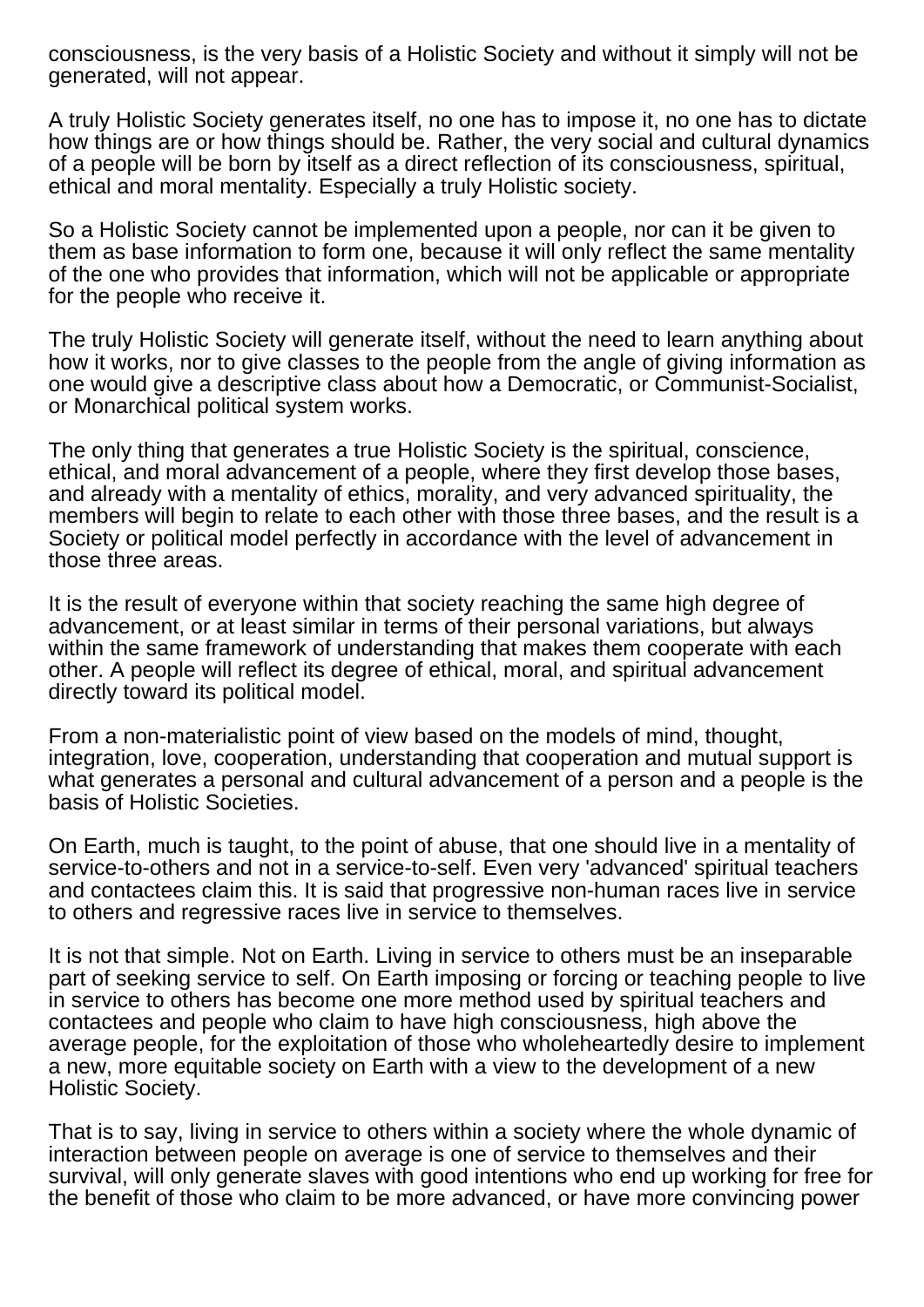consciousness, is the very basis of a Holistic Society and without it simply will not be generated, will not appear.

A truly Holistic Society generates itself, no one has to impose it, no one has to dictate how things are or how things should be. Rather, the very social and cultural dynamics of a people will be born by itself as a direct reflection of its consciousness, spiritual, ethical and moral mentality. Especially a truly Holistic society.

So a Holistic Society cannot be implemented upon a people, nor can it be given to them as base information to form one, because it will only reflect the same mentality of the one who provides that information, which will not be applicable or appropriate for the people who receive it.

The truly Holistic Society will generate itself, without the need to learn anything about how it works, nor to give classes to the people from the angle of giving information as one would give a descriptive class about how a Democratic, or Communist-Socialist, or Monarchical political system works.

The only thing that generates a true Holistic Society is the spiritual, conscience, ethical, and moral advancement of a people, where they first develop those bases, and already with a mentality of ethics, morality, and very advanced spirituality, the members will begin to relate to each other with those three bases, and the result is a Society or political model perfectly in accordance with the level of advancement in those three areas.

It is the result of everyone within that society reaching the same high degree of advancement, or at least similar in terms of their personal variations, but always within the same framework of understanding that makes them cooperate with each other. A people will reflect its degree of ethical, moral, and spiritual advancement directly toward its political model.

From a non-materialistic point of view based on the models of mind, thought, integration, love, cooperation, understanding that cooperation and mutual support is what generates a personal and cultural advancement of a person and a people is the basis of Holistic Societies.

On Earth, much is taught, to the point of abuse, that one should live in a mentality of service-to-others and not in a service-to-self. Even very 'advanced' spiritual teachers and contactees claim this. It is said that progressive non-human races live in service to others and regressive races live in service to themselves.

It is not that simple. Not on Earth. Living in service to others must be an inseparable part of seeking service to self. On Earth imposing or forcing or teaching people to live in service to others has become one more method used by spiritual teachers and contactees and people who claim to have high consciousness, high above the average people, for the exploitation of those who wholeheartedly desire to implement a new, more equitable society on Earth with a view to the development of a new Holistic Society.

That is to say, living in service to others within a society where the whole dynamic of interaction between people on average is one of service to themselves and their survival, will only generate slaves with good intentions who end up working for free for the benefit of those who claim to be more advanced, or have more convincing power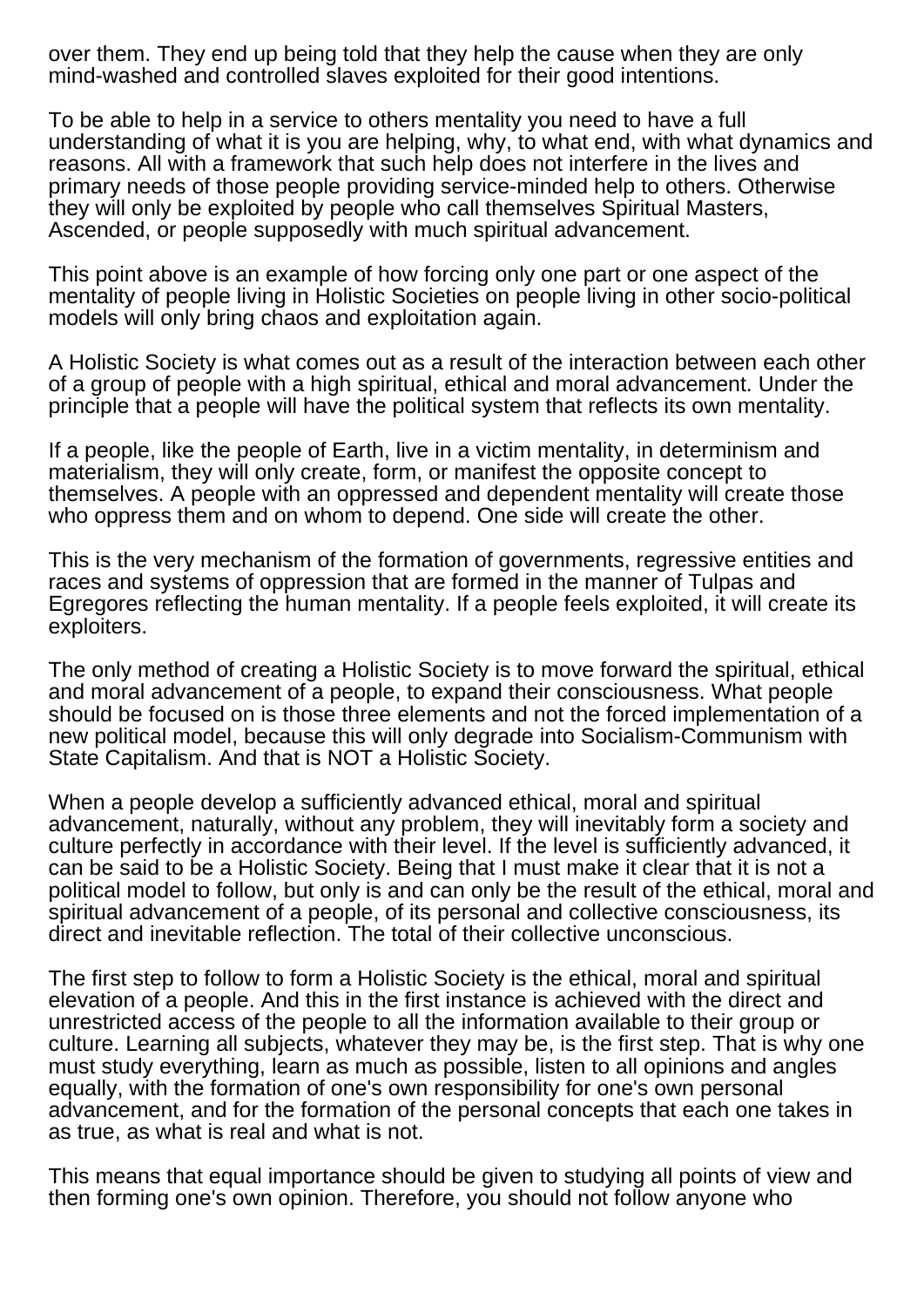over them. They end up being told that they help the cause when they are only mind-washed and controlled slaves exploited for their good intentions.

To be able to help in a service to others mentality you need to have a full understanding of what it is you are helping, why, to what end, with what dynamics and reasons. All with a framework that such help does not interfere in the lives and primary needs of those people providing service-minded help to others. Otherwise they will only be exploited by people who call themselves Spiritual Masters, Ascended, or people supposedly with much spiritual advancement.

This point above is an example of how forcing only one part or one aspect of the mentality of people living in Holistic Societies on people living in other socio-political models will only bring chaos and exploitation again.

A Holistic Society is what comes out as a result of the interaction between each other of a group of people with a high spiritual, ethical and moral advancement. Under the principle that a people will have the political system that reflects its own mentality.

If a people, like the people of Earth, live in a victim mentality, in determinism and materialism, they will only create, form, or manifest the opposite concept to themselves. A people with an oppressed and dependent mentality will create those who oppress them and on whom to depend. One side will create the other.

This is the very mechanism of the formation of governments, regressive entities and races and systems of oppression that are formed in the manner of Tulpas and Egregores reflecting the human mentality. If a people feels exploited, it will create its exploiters.

The only method of creating a Holistic Society is to move forward the spiritual, ethical and moral advancement of a people, to expand their consciousness. What people should be focused on is those three elements and not the forced implementation of a new political model, because this will only degrade into Socialism-Communism with State Capitalism. And that is NOT a Holistic Society.

When a people develop a sufficiently advanced ethical, moral and spiritual advancement, naturally, without any problem, they will inevitably form a society and culture perfectly in accordance with their level. If the level is sufficiently advanced, it can be said to be a Holistic Society. Being that I must make it clear that it is not a political model to follow, but only is and can only be the result of the ethical, moral and spiritual advancement of a people, of its personal and collective consciousness, its direct and inevitable reflection. The total of their collective unconscious.

The first step to follow to form a Holistic Society is the ethical, moral and spiritual elevation of a people. And this in the first instance is achieved with the direct and unrestricted access of the people to all the information available to their group or culture. Learning all subjects, whatever they may be, is the first step. That is why one must study everything, learn as much as possible, listen to all opinions and angles equally, with the formation of one's own responsibility for one's own personal advancement, and for the formation of the personal concepts that each one takes in as true, as what is real and what is not.

This means that equal importance should be given to studying all points of view and then forming one's own opinion. Therefore, you should not follow anyone who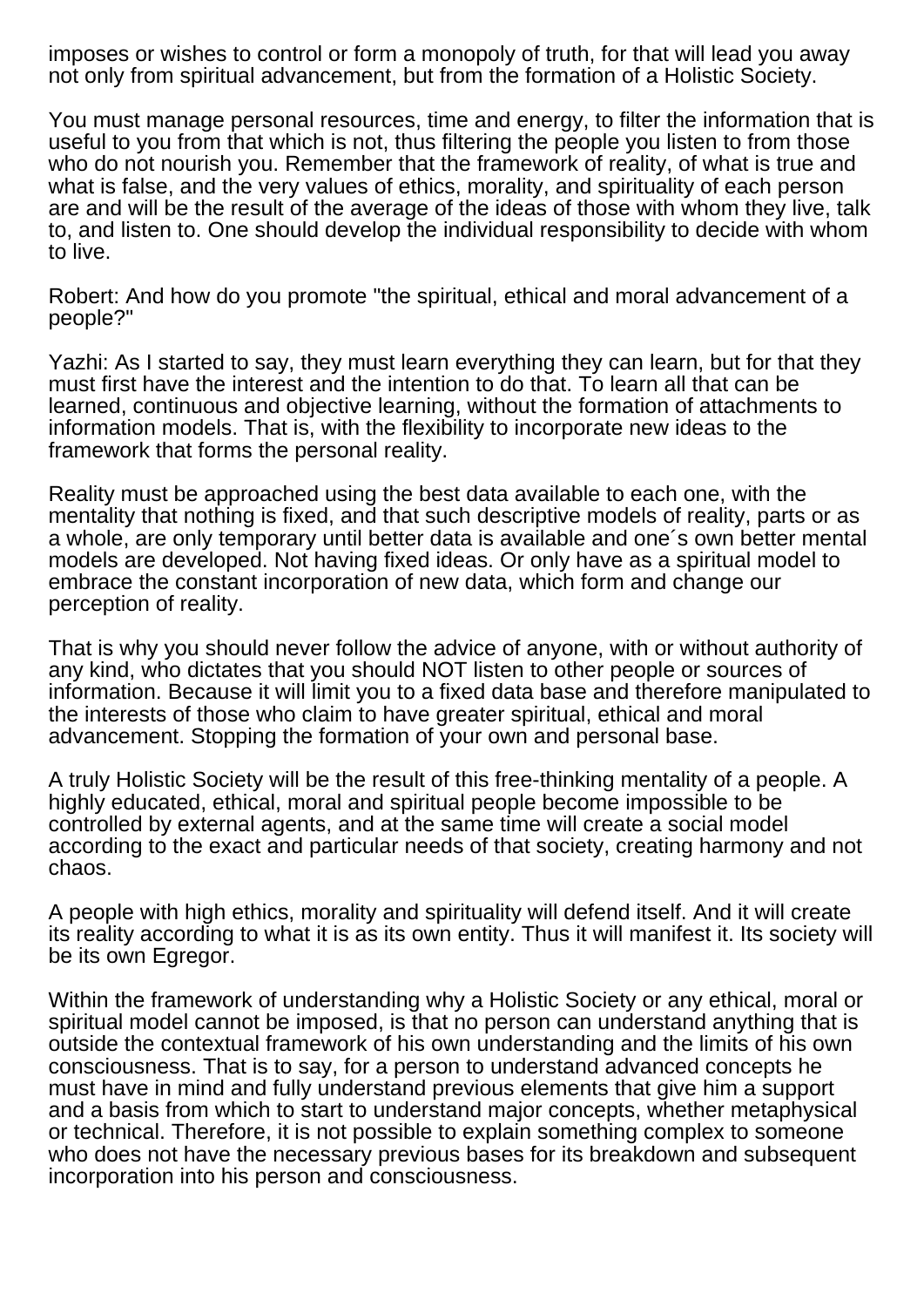imposes or wishes to control or form a monopoly of truth, for that will lead you away not only from spiritual advancement, but from the formation of a Holistic Society.

You must manage personal resources, time and energy, to filter the information that is useful to you from that which is not, thus filtering the people you listen to from those who do not nourish you. Remember that the framework of reality, of what is true and what is false, and the very values of ethics, morality, and spirituality of each person are and will be the result of the average of the ideas of those with whom they live, talk to, and listen to. One should develop the individual responsibility to decide with whom to live.

Robert: And how do you promote "the spiritual, ethical and moral advancement of a people?"

Yazhi: As I started to say, they must learn everything they can learn, but for that they must first have the interest and the intention to do that. To learn all that can be learned, continuous and objective learning, without the formation of attachments to information models. That is, with the flexibility to incorporate new ideas to the framework that forms the personal reality.

Reality must be approached using the best data available to each one, with the mentality that nothing is fixed, and that such descriptive models of reality, parts or as a whole, are only temporary until better data is available and one´s own better mental models are developed. Not having fixed ideas. Or only have as a spiritual model to embrace the constant incorporation of new data, which form and change our perception of reality.

That is why you should never follow the advice of anyone, with or without authority of any kind, who dictates that you should NOT listen to other people or sources of information. Because it will limit you to a fixed data base and therefore manipulated to the interests of those who claim to have greater spiritual, ethical and moral advancement. Stopping the formation of your own and personal base.

A truly Holistic Society will be the result of this free-thinking mentality of a people. A highly educated, ethical, moral and spiritual people become impossible to be controlled by external agents, and at the same time will create a social model according to the exact and particular needs of that society, creating harmony and not chaos.

A people with high ethics, morality and spirituality will defend itself. And it will create its reality according to what it is as its own entity. Thus it will manifest it. Its society will be its own Egregor.

Within the framework of understanding why a Holistic Society or any ethical, moral or spiritual model cannot be imposed, is that no person can understand anything that is outside the contextual framework of his own understanding and the limits of his own consciousness. That is to say, for a person to understand advanced concepts he must have in mind and fully understand previous elements that give him a support and a basis from which to start to understand major concepts, whether metaphysical or technical. Therefore, it is not possible to explain something complex to someone who does not have the necessary previous bases for its breakdown and subsequent incorporation into his person and consciousness.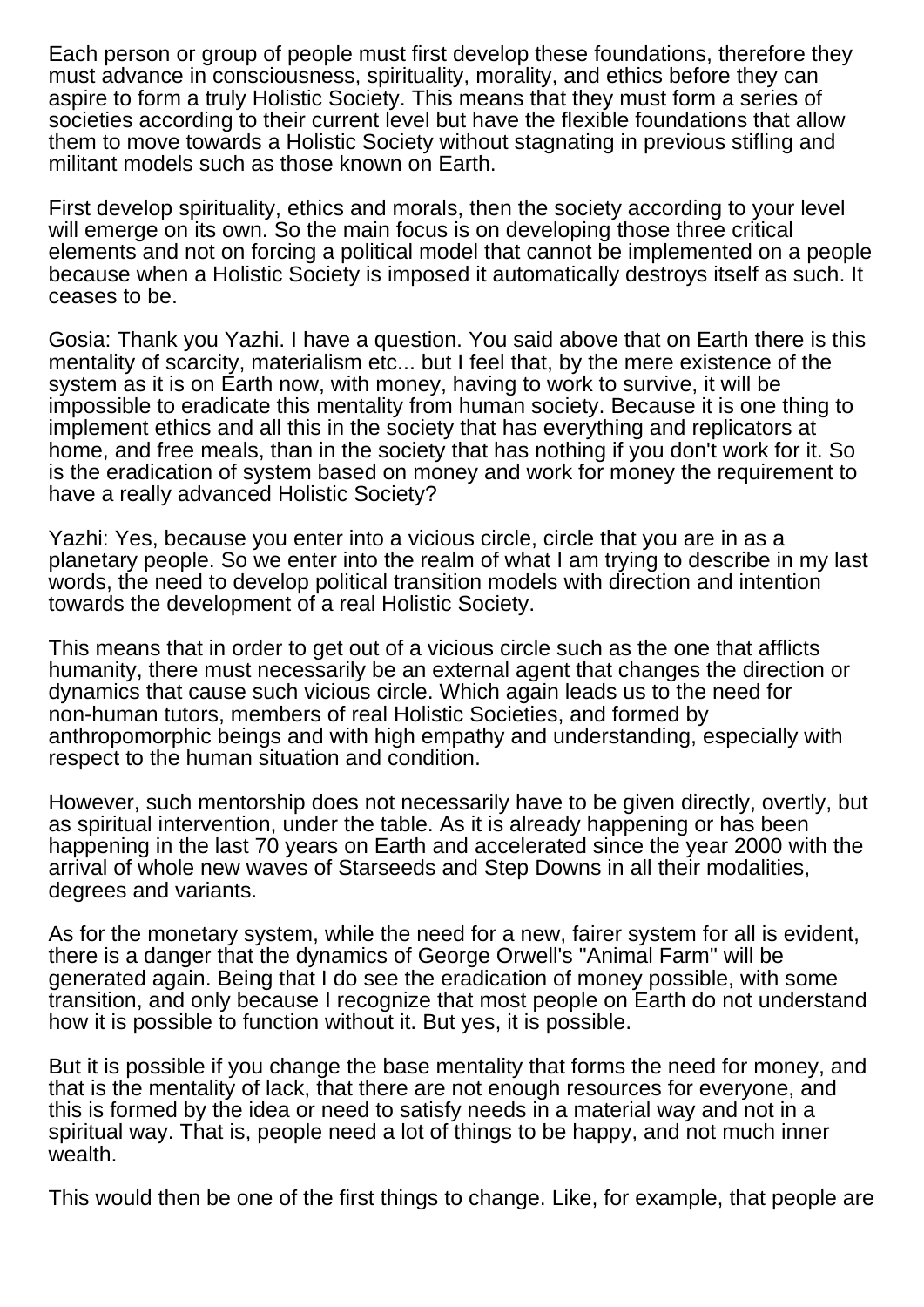Each person or group of people must first develop these foundations, therefore they must advance in consciousness, spirituality, morality, and ethics before they can aspire to form a truly Holistic Society. This means that they must form a series of societies according to their current level but have the flexible foundations that allow them to move towards a Holistic Society without stagnating in previous stifling and militant models such as those known on Earth.

First develop spirituality, ethics and morals, then the society according to your level will emerge on its own. So the main focus is on developing those three critical elements and not on forcing a political model that cannot be implemented on a people because when a Holistic Society is imposed it automatically destroys itself as such. It ceases to be.

Gosia: Thank you Yazhi. I have a question. You said above that on Earth there is this mentality of scarcity, materialism etc... but I feel that, by the mere existence of the system as it is on Earth now, with money, having to work to survive, it will be impossible to eradicate this mentality from human society. Because it is one thing to implement ethics and all this in the society that has everything and replicators at home, and free meals, than in the society that has nothing if you don't work for it. So is the eradication of system based on money and work for money the requirement to have a really advanced Holistic Society?

Yazhi: Yes, because you enter into a vicious circle, circle that you are in as a planetary people. So we enter into the realm of what I am trying to describe in my last words, the need to develop political transition models with direction and intention towards the development of a real Holistic Society.

This means that in order to get out of a vicious circle such as the one that afflicts humanity, there must necessarily be an external agent that changes the direction or dynamics that cause such vicious circle. Which again leads us to the need for non-human tutors, members of real Holistic Societies, and formed by anthropomorphic beings and with high empathy and understanding, especially with respect to the human situation and condition.

However, such mentorship does not necessarily have to be given directly, overtly, but as spiritual intervention, under the table. As it is already happening or has been happening in the last 70 years on Earth and accelerated since the year 2000 with the arrival of whole new waves of Starseeds and Step Downs in all their modalities, degrees and variants.

As for the monetary system, while the need for a new, fairer system for all is evident, there is a danger that the dynamics of George Orwell's "Animal Farm" will be generated again. Being that I do see the eradication of money possible, with some transition, and only because I recognize that most people on Earth do not understand how it is possible to function without it. But yes, it is possible.

But it is possible if you change the base mentality that forms the need for money, and that is the mentality of lack, that there are not enough resources for everyone, and this is formed by the idea or need to satisfy needs in a material way and not in a spiritual way. That is, people need a lot of things to be happy, and not much inner wealth.

This would then be one of the first things to change. Like, for example, that people are